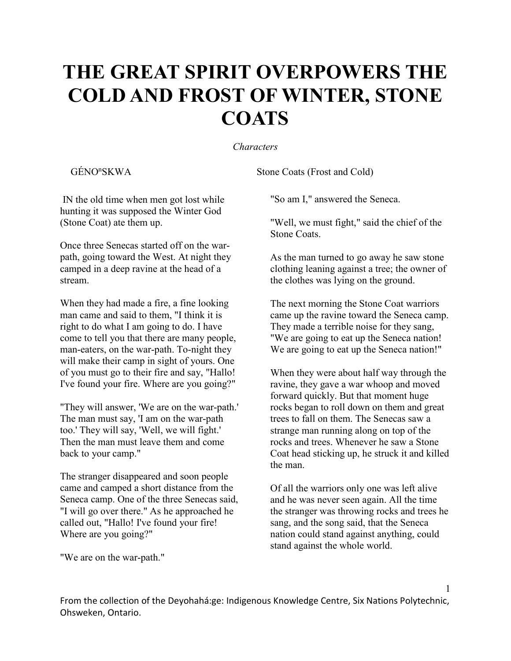## **THE GREAT SPIRIT OVERPOWERS THE COLD AND FROST OF WINTER, STONE COATS**

## *Characters*

GÉNO<sup>n</sup>SKWA

IN the old time when men got lost while hunting it was supposed the Winter God (Stone Coat) ate them up.

Once three Senecas started off on the warpath, going toward the West. At night they camped in a deep ravine at the head of a stream.

When they had made a fire, a fine looking man came and said to them, "I think it is right to do what I am going to do. I have come to tell you that there are many people, man-eaters, on the war-path. To-night they will make their camp in sight of yours. One of you must go to their fire and say, "Hallo! I've found your fire. Where are you going?"

"They will answer, 'We are on the war-path.' The man must say, 'I am on the war-path too.' They will say, 'Well, we will fight.' Then the man must leave them and come back to your camp."

The stranger disappeared and soon people came and camped a short distance from the Seneca camp. One of the three Senecas said, "I will go over there." As he approached he called out, "Hallo! I've found your fire! Where are you going?"

Stone Coats (Frost and Cold)

"So am I," answered the Seneca.

"Well, we must fight," said the chief of the Stone Coats.

As the man turned to go away he saw stone clothing leaning against a tree; the owner of the clothes was lying on the ground.

The next morning the Stone Coat warriors came up the ravine toward the Seneca camp. They made a terrible noise for they sang, "We are going to eat up the Seneca nation! We are going to eat up the Seneca nation!"

When they were about half way through the ravine, they gave a war whoop and moved forward quickly. But that moment huge rocks began to roll down on them and great trees to fall on them. The Senecas saw a strange man running along on top of the rocks and trees. Whenever he saw a Stone Coat head sticking up, he struck it and killed the man.

Of all the warriors only one was left alive and he was never seen again. All the time the stranger was throwing rocks and trees he sang, and the song said, that the Seneca nation could stand against anything, could stand against the whole world.

1

"We are on the war-path."

From the collection of the Deyohahá:ge: Indigenous Knowledge Centre, Six Nations Polytechnic, Ohsweken, Ontario.